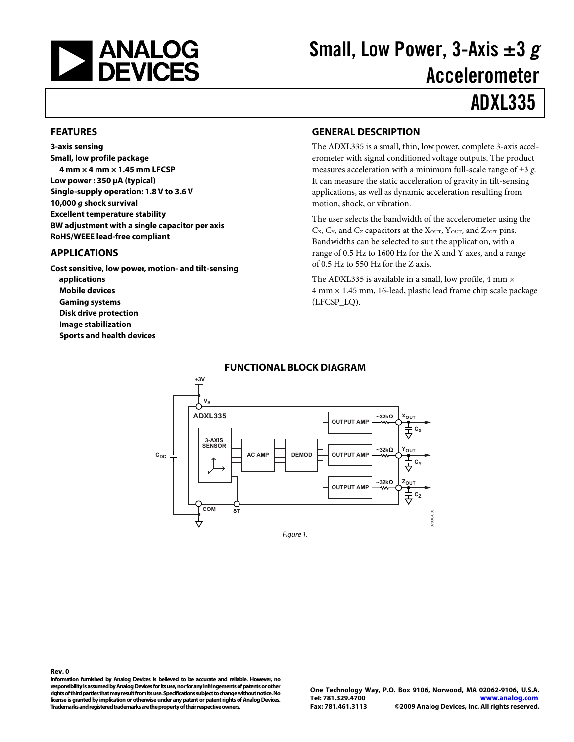<span id="page-0-0"></span>

# Small, Low Power, 3-Axis  $\pm 3$  g Accelerometer

# ADXL335

#### **FEATURES**

**3-axis sensing Small, low profile package 4 mm × 4 mm × 1.45 mm LFCSP Low power : 350 μA (typical) Single-supply operation: 1.8 V to 3.6 V 10,000 g shock survival Excellent temperature stability BW adjustment with a single capacitor per axis RoHS/WEEE lead-free compliant** 

### **APPLICATIONS**

**Cost sensitive, low power, motion- and tilt-sensing applications Mobile devices Gaming systems Disk drive protection Image stabilization Sports and health devices** 

### **GENERAL DESCRIPTION**

The ADXL335 is a small, thin, low power, complete 3-axis accelerometer with signal conditioned voltage outputs. The product measures acceleration with a minimum full-scale range of ±3 *g*. It can measure the static acceleration of gravity in tilt-sensing applications, as well as dynamic acceleration resulting from motion, shock, or vibration.

The user selects the bandwidth of the accelerometer using the  $C_X$ ,  $C_Y$ , and  $C_Z$  capacitors at the  $X<sub>OUT</sub>$ ,  $Y<sub>OUT</sub>$ , and  $Z<sub>OUT</sub>$  pins. Bandwidths can be selected to suit the application, with a range of 0.5 Hz to 1600 Hz for the X and Y axes, and a range of 0.5 Hz to 550 Hz for the Z axis.

The ADXL335 is available in a small, low profile, 4 mm  $\times$ 4 mm × 1.45 mm, 16-lead, plastic lead frame chip scale package (LFCSP\_LQ).



### **FUNCTIONAL BLOCK DIAGRAM**

**Rev. 0 Information furnished by Analog Devices is believed to be accurate and reliable. However, no responsibility is assumed by Analog Devices for its use, nor for any infringements of patents or other rights of third parties that may result from its use. Specifications subject to change without notice. No license is granted by implication or otherwise under any patent or patent rights of Analog Devices. Trademarks and registered trademarks are the property of their respective owners.**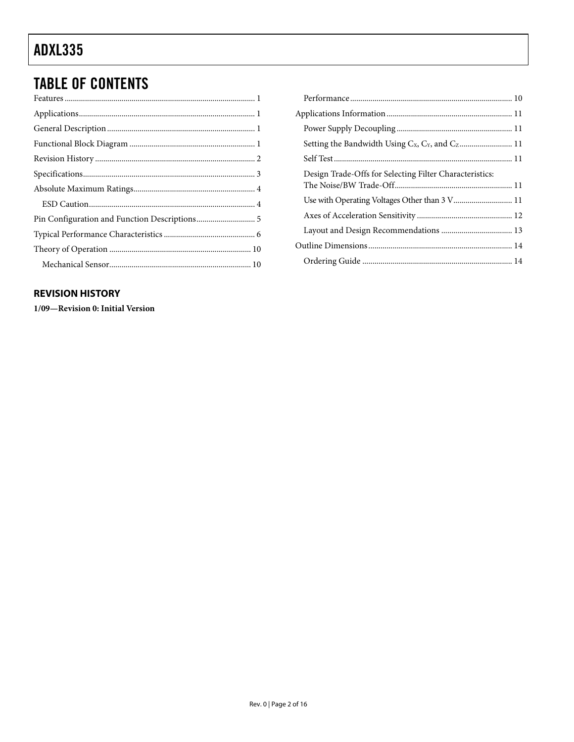# <span id="page-1-0"></span>**TABLE OF CONTENTS**

### **REVISION HISTORY**

1/09-Revision 0: Initial Version

| Design Trade-Offs for Selecting Filter Characteristics: |  |
|---------------------------------------------------------|--|
|                                                         |  |
|                                                         |  |
|                                                         |  |
|                                                         |  |
|                                                         |  |
|                                                         |  |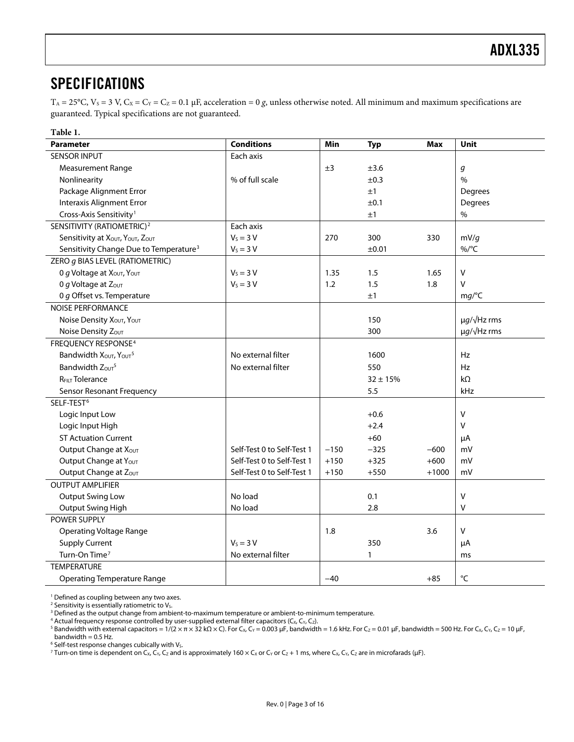### <span id="page-2-0"></span>SPECIFICATIONS

 $T_A = 25$ °C,  $V_S = 3$  V,  $C_X = C_Y = C_Z = 0.1$  μF, acceleration = 0 *g*, unless otherwise noted. All minimum and maximum specifications are guaranteed. Typical specifications are not guaranteed.

| Table 1.                                           |                            |        |              |            |                          |
|----------------------------------------------------|----------------------------|--------|--------------|------------|--------------------------|
| <b>Parameter</b>                                   | <b>Conditions</b>          | Min    | <b>Typ</b>   | <b>Max</b> | Unit                     |
| <b>SENSOR INPUT</b>                                | Each axis                  |        |              |            |                          |
| Measurement Range                                  |                            | ±3     | ±3.6         |            | g                        |
| Nonlinearity                                       | % of full scale            |        | ±0.3         |            | $\%$                     |
| Package Alignment Error                            |                            |        | ±1           |            | Degrees                  |
| <b>Interaxis Alignment Error</b>                   |                            |        | ±0.1         |            | Degrees                  |
| Cross-Axis Sensitivity <sup>1</sup>                |                            |        | ±1           |            | $\%$                     |
| SENSITIVITY (RATIOMETRIC) <sup>2</sup>             | Each axis                  |        |              |            |                          |
| Sensitivity at XOUT, YOUT, ZOUT                    | $V_s = 3 V$                | 270    | 300          | 330        | mV/g                     |
| Sensitivity Change Due to Temperature <sup>3</sup> | $V_s = 3 V$                |        | ±0.01        |            | %/°C                     |
| ZERO g BIAS LEVEL (RATIOMETRIC)                    |                            |        |              |            |                          |
| 0 g Voltage at $X_{\text{OUT}}$ , $Y_{\text{OUT}}$ | $V_S = 3 V$                | 1.35   | 1.5          | 1.65       | V                        |
| 0 g Voltage at $Z_{\text{OUT}}$                    | $V_s = 3 V$                | 1.2    | 1.5          | 1.8        | $\vee$                   |
| 0 g Offset vs. Temperature                         |                            |        | ±1           |            | mg/C                     |
| <b>NOISE PERFORMANCE</b>                           |                            |        |              |            |                          |
| Noise Density Xout, Yout                           |                            |        | 150          |            | $\mu q/\sqrt{Hz}$ rms    |
| Noise Density Zout                                 |                            |        | 300          |            | $\mu$ g/ $\sqrt{Hz}$ rms |
| FREQUENCY RESPONSE <sup>4</sup>                    |                            |        |              |            |                          |
| Bandwidth XOUT, YOUT <sup>5</sup>                  | No external filter         |        | 1600         |            | Hz                       |
| Bandwidth Zour <sup>5</sup>                        | No external filter         |        | 550          |            | Hz                       |
| <b>REILT Tolerance</b>                             |                            |        | $32 \pm 15%$ |            | $k\Omega$                |
| Sensor Resonant Frequency                          |                            |        | 5.5          |            | kHz                      |
| SELF-TEST <sup>6</sup>                             |                            |        |              |            |                          |
| Logic Input Low                                    |                            |        | $+0.6$       |            | V                        |
| Logic Input High                                   |                            |        | $+2.4$       |            | $\vee$                   |
| <b>ST Actuation Current</b>                        |                            |        | $+60$        |            | μA                       |
| Output Change at X <sub>OUT</sub>                  | Self-Test 0 to Self-Test 1 | $-150$ | $-325$       | $-600$     | mV                       |
| Output Change at Yout                              | Self-Test 0 to Self-Test 1 | $+150$ | $+325$       | $+600$     | mV                       |
| Output Change at Zout                              | Self-Test 0 to Self-Test 1 | $+150$ | $+550$       | $+1000$    | mV                       |
| <b>OUTPUT AMPLIFIER</b>                            |                            |        |              |            |                          |
| <b>Output Swing Low</b>                            | No load                    |        | 0.1          |            | V                        |
| Output Swing High                                  | No load                    |        | 2.8          |            | $\vee$                   |
| <b>POWER SUPPLY</b>                                |                            |        |              |            |                          |
| <b>Operating Voltage Range</b>                     |                            | 1.8    |              | 3.6        | V                        |
| <b>Supply Current</b>                              | $V_S = 3 V$                |        | 350          |            | μA                       |
| Turn-On Time <sup>7</sup>                          | No external filter         |        | 1            |            | ms                       |
| <b>TEMPERATURE</b>                                 |                            |        |              |            |                          |
| <b>Operating Temperature Range</b>                 |                            | $-40$  |              | $+85$      | $^{\circ}$ C             |

1 Defined as coupling between any two axes.

<sup>2</sup> Sensitivity is essentially ratiometric to V<sub>s</sub>.<br><sup>3</sup> Defined as the output change from ambi

 $5$  Bandwidth with external capacitors = 1/(2 × π × 32 kΩ × C). For C<sub>x</sub>, C<sub>Y</sub> = 0.003 μF, bandwidth = 1.6 kHz. For C<sub>Z</sub> = 0.01 μF, bandwidth = 500 Hz. For C<sub>X</sub>, C<sub>Y</sub>, C<sub>Z</sub> = 10 μF,

bandwidth  $= 0.5$  Hz.

 $^6$  Self-test response changes cubically with V<sub>s</sub>.<br><sup>7</sup> Turn-on time is dependent on Cy Cy C<sub>2</sub> and i <sup>7</sup> Turn-on time is dependent on C<sub>X</sub>, C<sub>Y</sub>, C<sub>Z</sub> and is approximately 160 × C<sub>X</sub> or C<sub>Y</sub> or C<sub>Z</sub> + 1 ms, where C<sub>X</sub>, C<sub>Y</sub>, C<sub>Z</sub> are in microfarads (µF).

<sup>&</sup>lt;sup>3</sup> Defined as the output change from ambient-to-maximum temperature or ambient-to-minimum temperature.

<sup>&</sup>lt;sup>4</sup> Actual frequency response controlled by user-supplied external filter capacitors (C<sub>X,</sub> C<sub>Y,</sub> C<sub>Z</sub>).<br><sup>5</sup> Bandwidth with external capacitors = 1/(2 × π × 32 kO × C). For C<sub>Y,</sub> Cy = 0.003 uE, bandwidth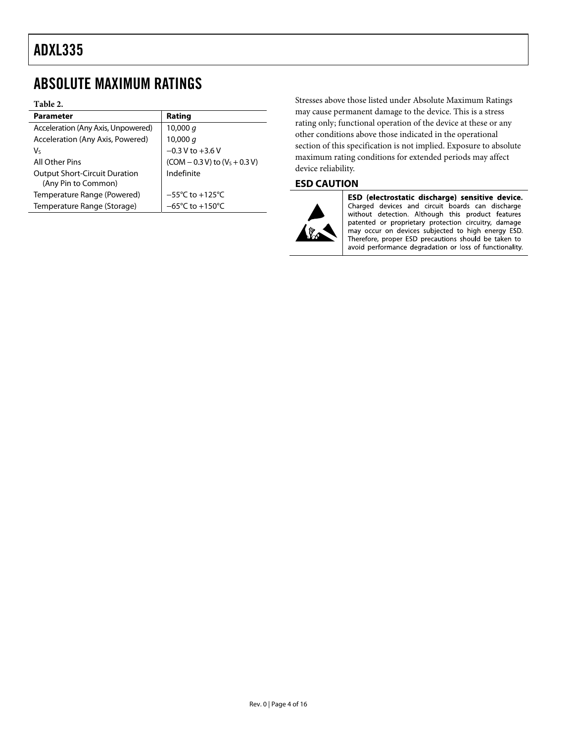### <span id="page-3-0"></span>ABSOLUTE MAXIMUM RATINGS

#### **Table 2.**

| Rating                               |
|--------------------------------------|
| 10,000 $q$                           |
| 10,000 g                             |
| $-0.3 V$ to $+3.6 V$                 |
| $(COM - 0.3 V)$ to $(VS + 0.3 V)$    |
| Indefinite                           |
|                                      |
| $-55^{\circ}$ C to $+125^{\circ}$ C  |
| $-65^{\circ}$ C to +150 $^{\circ}$ C |
|                                      |

Stresses above those listed under Absolute Maximum Ratings may cause permanent damage to the device. This is a stress rating only; functional operation of the device at these or any other conditions above those indicated in the operational section of this specification is not implied. Exposure to absolute maximum rating conditions for extended periods may affect device reliability.

### **ESD CAUTION**



ESD (electrostatic discharge) sensitive device. Charged devices and circuit boards can discharge without detection. Although this product features patented or proprietary protection circuitry, damage may occur on devices subjected to high energy ESD. Therefore, proper ESD precautions should be taken to avoid performance degradation or loss of functionality.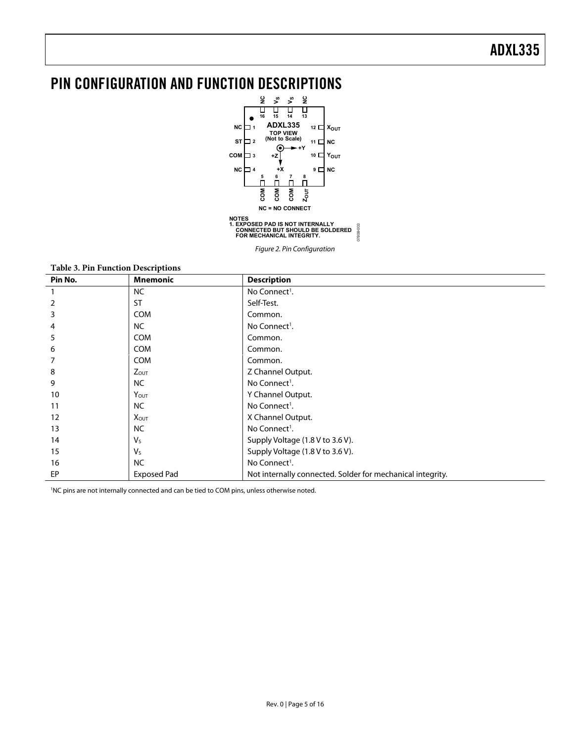# <span id="page-4-0"></span>PIN CONFIGURATION AND FUNCTION DESCRIPTIONS



Figure 2. Pin Configuration

#### **Table 3. Pin Function Descriptions**

| Pin No. | <b>Mnemonic</b>         | <b>Description</b>                                         |
|---------|-------------------------|------------------------------------------------------------|
|         | NC                      | No Connect <sup>1</sup> .                                  |
| 2       | <b>ST</b>               | Self-Test.                                                 |
| 3       | <b>COM</b>              | Common.                                                    |
| 4       | <b>NC</b>               | No Connect <sup>1</sup> .                                  |
| 5       | <b>COM</b>              | Common.                                                    |
| 6       | <b>COM</b>              | Common.                                                    |
|         | <b>COM</b>              | Common.                                                    |
| 8       | $Z_{OUT}$               | Z Channel Output.                                          |
| 9       | <b>NC</b>               | No Connect <sup>1</sup> .                                  |
| 10      | Y <sub>OUT</sub>        | Y Channel Output.                                          |
| 11      | <b>NC</b>               | No Connect <sup>1</sup> .                                  |
| 12      | <b>X</b> <sub>OUT</sub> | X Channel Output.                                          |
| 13      | <b>NC</b>               | No Connect <sup>1</sup> .                                  |
| 14      | $V_{S}$                 | Supply Voltage (1.8 V to 3.6 V).                           |
| 15      | $V_{S}$                 | Supply Voltage (1.8 V to 3.6 V).                           |
| 16      | <b>NC</b>               | No Connect <sup>1</sup> .                                  |
| EP      | <b>Exposed Pad</b>      | Not internally connected. Solder for mechanical integrity. |

1 NC pins are not internally connected and can be tied to COM pins, unless otherwise noted.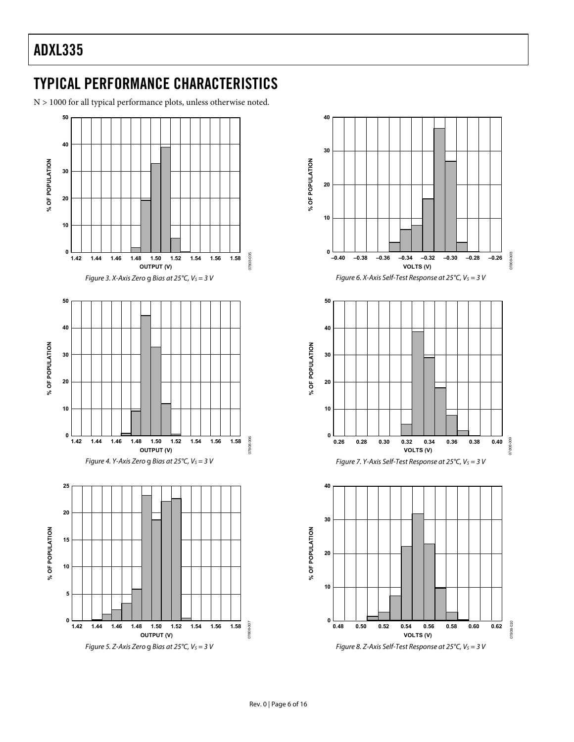# <span id="page-5-0"></span>TYPICAL PERFORMANCE CHARACTERISTICS

N > 1000 for all typical performance plots, unless otherwise noted.



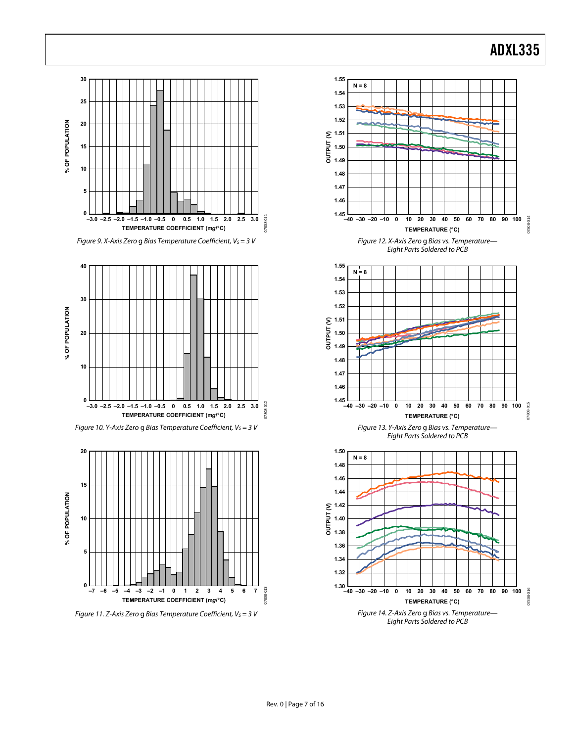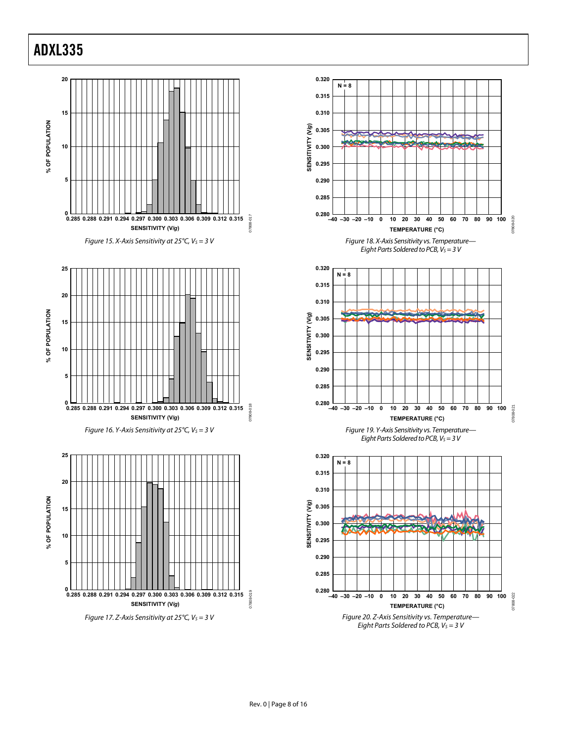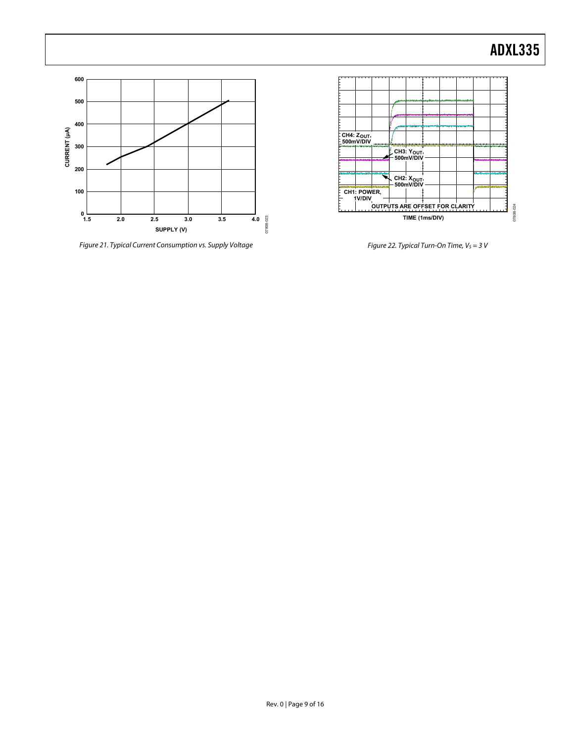

Figure 21. Typical Current Consumption vs. Supply Voltage



Figure 22. Typical Turn-On Time,  $V_S = 3$  V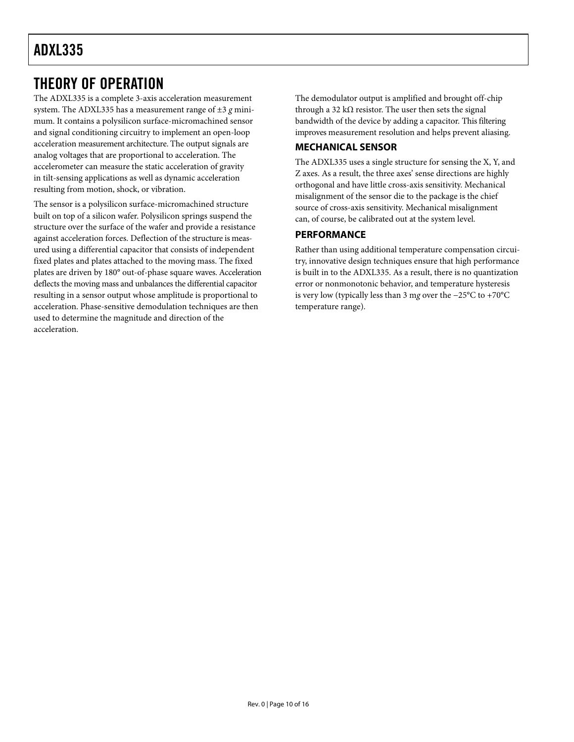### <span id="page-9-0"></span>THEORY OF OPERATION

The ADXL335 is a complete 3-axis acceleration measurement system. The ADXL335 has a measurement range of ±3 *g* minimum. It contains a polysilicon surface-micromachined sensor and signal conditioning circuitry to implement an open-loop acceleration measurement architecture. The output signals are analog voltages that are proportional to acceleration. The accelerometer can measure the static acceleration of gravity in tilt-sensing applications as well as dynamic acceleration resulting from motion, shock, or vibration.

The sensor is a polysilicon surface-micromachined structure built on top of a silicon wafer. Polysilicon springs suspend the structure over the surface of the wafer and provide a resistance against acceleration forces. Deflection of the structure is measured using a differential capacitor that consists of independent fixed plates and plates attached to the moving mass. The fixed plates are driven by 180° out-of-phase square waves. Acceleration deflects the moving mass and unbalances the differential capacitor resulting in a sensor output whose amplitude is proportional to acceleration. Phase-sensitive demodulation techniques are then used to determine the magnitude and direction of the acceleration.

The demodulator output is amplified and brought off-chip through a 32 k $\Omega$  resistor. The user then sets the signal bandwidth of the device by adding a capacitor. This filtering improves measurement resolution and helps prevent aliasing.

### **MECHANICAL SENSOR**

The ADXL335 uses a single structure for sensing the X, Y, and Z axes. As a result, the three axes' sense directions are highly orthogonal and have little cross-axis sensitivity. Mechanical misalignment of the sensor die to the package is the chief source of cross-axis sensitivity. Mechanical misalignment can, of course, be calibrated out at the system level.

### **PERFORMANCE**

Rather than using additional temperature compensation circuitry, innovative design techniques ensure that high performance is built in to the ADXL335. As a result, there is no quantization error or nonmonotonic behavior, and temperature hysteresis is very low (typically less than 3 m*g* over the −25°C to +70°C temperature range).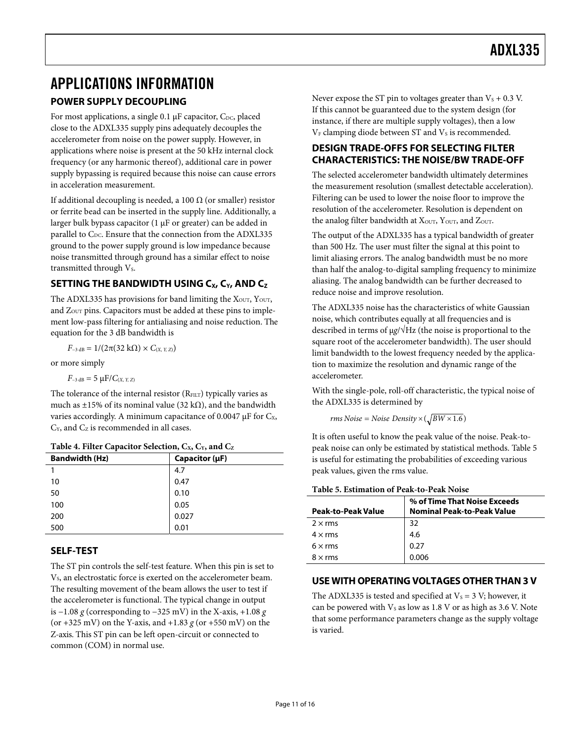### <span id="page-10-0"></span>APPLICATIONS INFORMATION **POWER SUPPLY DECOUPLING**

For most applications, a single 0.1  $\mu$ F capacitor, C<sub>DC</sub>, placed close to the ADXL335 supply pins adequately decouples the accelerometer from noise on the power supply. However, in applications where noise is present at the 50 kHz internal clock frequency (or any harmonic thereof), additional care in power supply bypassing is required because this noise can cause errors in acceleration measurement.

If additional decoupling is needed, a 100  $\Omega$  (or smaller) resistor or ferrite bead can be inserted in the supply line. Additionally, a larger bulk bypass capacitor (1 μF or greater) can be added in parallel to  $C_{DC}$ . Ensure that the connection from the ADXL335 ground to the power supply ground is low impedance because noise transmitted through ground has a similar effect to noise transmitted through Vs.

### **SETTING THE BANDWIDTH USING C<sub>X</sub>, C<sub>Y</sub>, AND C<sub>Z</sub>**

The ADXL335 has provisions for band limiting the  $X<sub>OUT</sub>$ ,  $Y<sub>OUT</sub>$ , and  $Z_{\text{OUT}}$  pins. Capacitors must be added at these pins to implement low-pass filtering for antialiasing and noise reduction. The equation for the 3 dB bandwidth is

 $F$ <sub>−3 dB</sub> = 1/(2π(32 kΩ) ×  $C$ (*X*, *Y*, *Z*))

or more simply

 $F_{-3 \text{ dB}} = 5 \mu F / C_{(X, Y, Z)}$ 

The tolerance of the internal resistor (RFILT) typically varies as much as ±15% of its nominal value (32 k $\Omega$ ), and the bandwidth varies accordingly. A minimum capacitance of 0.0047  $\mu$ F for C<sub>x</sub>,  $C_Y$ , and  $C_Z$  is recommended in all cases.

|  | Table 4. Filter Capacitor Selection, Cx, Cy, and Cz |  |  |
|--|-----------------------------------------------------|--|--|
|  |                                                     |  |  |

| <b>Bandwidth (Hz)</b> | Capacitor $(\mu F)$ |
|-----------------------|---------------------|
|                       | 4.7                 |
| 10                    | 0.47                |
| 50                    | 0.10                |
| 100                   | 0.05                |
| 200                   | 0.027               |
| 500                   | 0.01                |

### **SELF-TEST**

<span id="page-10-1"></span>The ST pin controls the self-test feature. When this pin is set to V<sub>s</sub>, an electrostatic force is exerted on the accelerometer beam. The resulting movement of the beam allows the user to test if the accelerometer is functional. The typical change in output is −1.08 *g* (corresponding to −325 mV) in the X-axis, +1.08 *g* (or +325 mV) on the Y-axis, and +1.83 *g* (or +550 mV) on the Z-axis. This ST pin can be left open-circuit or connected to common (COM) in normal use.

Never expose the ST pin to voltages greater than  $V_s + 0.3$  V. If this cannot be guaranteed due to the system design (for instance, if there are multiple supply voltages), then a low  $V_F$  clamping diode between ST and  $V_S$  is recommended.

### **DESIGN TRADE-OFFS FOR SELECTING FILTER CHARACTERISTICS: THE NOISE/BW TRADE-OFF**

The selected accelerometer bandwidth ultimately determines the measurement resolution (smallest detectable acceleration). Filtering can be used to lower the noise floor to improve the resolution of the accelerometer. Resolution is dependent on the analog filter bandwidth at  $X<sub>OUT</sub>$ ,  $Y<sub>OUT</sub>$ , and  $Z<sub>OUT</sub>$ .

The output of the ADXL335 has a typical bandwidth of greater than 500 Hz. The user must filter the signal at this point to limit aliasing errors. The analog bandwidth must be no more than half the analog-to-digital sampling frequency to minimize aliasing. The analog bandwidth can be further decreased to reduce noise and improve resolution.

The ADXL335 noise has the characteristics of white Gaussian noise, which contributes equally at all frequencies and is described in terms of μ*g*/√Hz (the noise is proportional to the square root of the accelerometer bandwidth). The user should limit bandwidth to the lowest frequency needed by the application to maximize the resolution and dynamic range of the accelerometer.

With the single-pole, roll-off characteristic, the typical noise of the ADXL335 is determined by

*rms Noise* = *Noise Density* 
$$
\times
$$
 ( $\sqrt{BW \times 1.6}$ )

It is often useful to know the peak value of the noise. Peak-topeak noise can only be estimated by statistical methods. [Table 5](#page-10-1) is useful for estimating the probabilities of exceeding various peak values, given the rms value.

|                           | % of Time That Noise Exceeds      |
|---------------------------|-----------------------------------|
| <b>Peak-to-Peak Value</b> | <b>Nominal Peak-to-Peak Value</b> |
| $2 \times$ rms            | 32                                |
| $4 \times$ rms            | 4.6                               |
| $6 \times rms$            | 0.27                              |
| $8 \times$ rms            | 0.006                             |

### **USE WITH OPERATING VOLTAGES OTHER THAN 3 V**

The ADXL335 is tested and specified at  $V_s = 3$  V; however, it can be powered with  $V_s$  as low as 1.8 V or as high as 3.6 V. Note that some performance parameters change as the supply voltage is varied.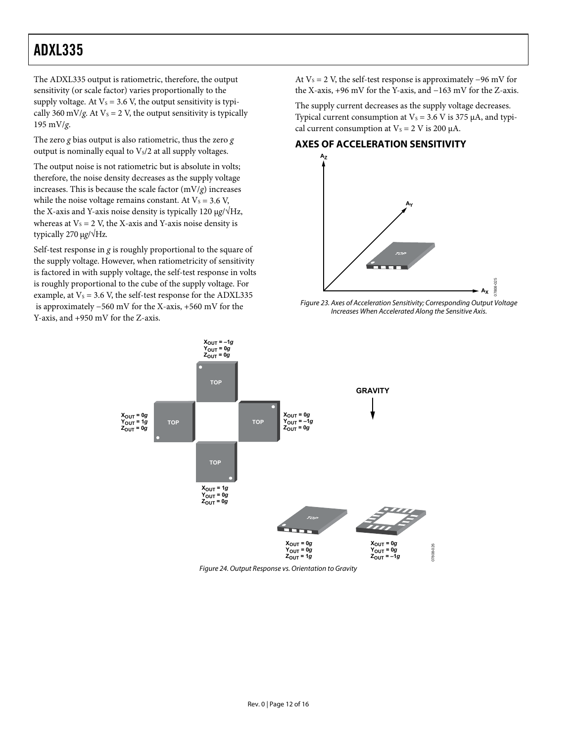<span id="page-11-0"></span>The ADXL335 output is ratiometric, therefore, the output sensitivity (or scale factor) varies proportionally to the supply voltage. At  $V_s = 3.6$  V, the output sensitivity is typically 360 mV/*g*. At  $V_s = 2$  V, the output sensitivity is typically 195 mV/*g*.

The zero *g* bias output is also ratiometric, thus the zero *g* output is nominally equal to  $V<sub>s</sub>/2$  at all supply voltages.

The output noise is not ratiometric but is absolute in volts; therefore, the noise density decreases as the supply voltage increases. This is because the scale factor (mV/*g*) increases while the noise voltage remains constant. At  $V_s = 3.6$  V, the X-axis and Y-axis noise density is typically 120 μ*g*/√Hz, whereas at  $V_s = 2$  V, the X-axis and Y-axis noise density is typically 270 μ*g*/√Hz.

Self-test response in *g* is roughly proportional to the square of the supply voltage. However, when ratiometricity of sensitivity is factored in with supply voltage, the self-test response in volts is roughly proportional to the cube of the supply voltage. For example, at  $V_s = 3.6$  V, the self-test response for the ADXL335 is approximately −560 mV for the X-axis, +560 mV for the Y-axis, and +950 mV for the Z-axis.

At  $V_s = 2$  V, the self-test response is approximately –96 mV for the X-axis, +96 mV for the Y-axis, and −163 mV for the Z-axis.

The supply current decreases as the supply voltage decreases. Typical current consumption at  $V_s = 3.6$  V is 375  $\mu$ A, and typical current consumption at  $V_s = 2$  V is 200  $\mu$ A.

### **AXES OF ACCELERATION SENSITIVITY**



Figure 23. Axes of Acceleration Sensitivity; Corresponding Output Voltage Increases When Accelerated Along the Sensitive Axis.



Figure 24. Output Response vs. Orientation to Gravity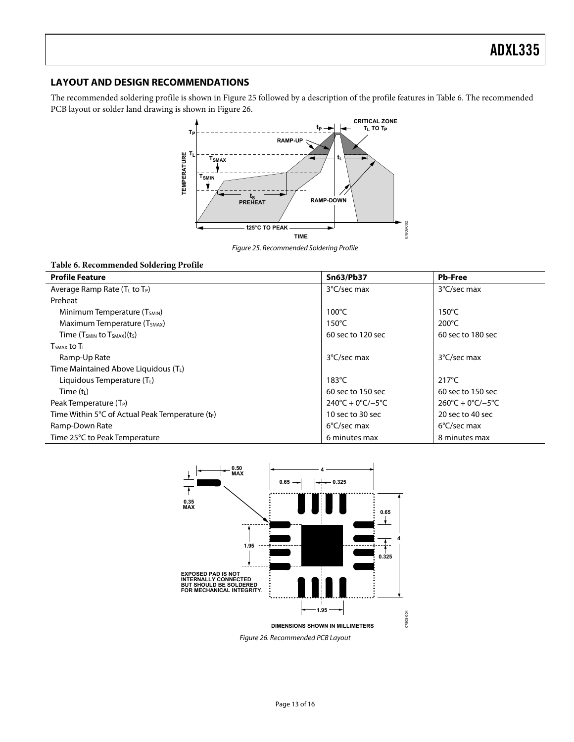### <span id="page-12-0"></span>**LAYOUT AND DESIGN RECOMMENDATIONS**

The recommended soldering profile is shown in [Figure 25](#page-12-1) followed by a description of the profile features in [Table 6](#page-12-2). The recommended PCB layout or solder land drawing is shown in [Figure 26](#page-12-3).



Figure 25. Recommended Soldering Profile

### <span id="page-12-2"></span><span id="page-12-1"></span>**Table 6. Recommended Soldering Profile**

| <b>Profile Feature</b>                                | <b>Sn63/Pb37</b>                        | <b>Pb-Free</b>                          |
|-------------------------------------------------------|-----------------------------------------|-----------------------------------------|
| Average Ramp Rate (T <sub>L</sub> to T <sub>P</sub> ) | 3°C/sec max                             | 3°C/sec max                             |
| Preheat                                               |                                         |                                         |
| Minimum Temperature (T <sub>SMIN</sub> )              | $100^{\circ}$ C                         | $150^{\circ}$ C                         |
| Maximum Temperature (T <sub>SMAX</sub> )              | $150^{\circ}$ C                         | $200^{\circ}$ C                         |
| Time $(T_{SMIN}$ to $T_{SMAX}$ ) $(tS)$               | 60 sec to 120 sec                       | 60 sec to 180 sec                       |
| $T_{SMAX}$ to $T_{L}$                                 |                                         |                                         |
| Ramp-Up Rate                                          | 3°C/sec max                             | 3°C/sec max                             |
| Time Maintained Above Liquidous (T <sub>L</sub> )     |                                         |                                         |
| Liquidous Temperature $(T_L)$                         | $183^{\circ}$ C                         | $217^{\circ}$ C                         |
| Time $(t_L)$                                          | 60 sec to 150 sec                       | 60 sec to 150 sec                       |
| Peak Temperature (T <sub>P</sub> )                    | $240^{\circ}C + 0^{\circ}C/-5^{\circ}C$ | $260^{\circ}C + 0^{\circ}C/-5^{\circ}C$ |
| Time Within 5°C of Actual Peak Temperature $(t_P)$    | 10 sec to 30 sec                        | 20 sec to 40 sec                        |
| Ramp-Down Rate                                        | $6^{\circ}$ C/sec max                   | $6^{\circ}$ C/sec max                   |
| Time 25°C to Peak Temperature                         | 6 minutes max                           | 8 minutes max                           |



<span id="page-12-3"></span>Figure 26. Recommended PCB Layout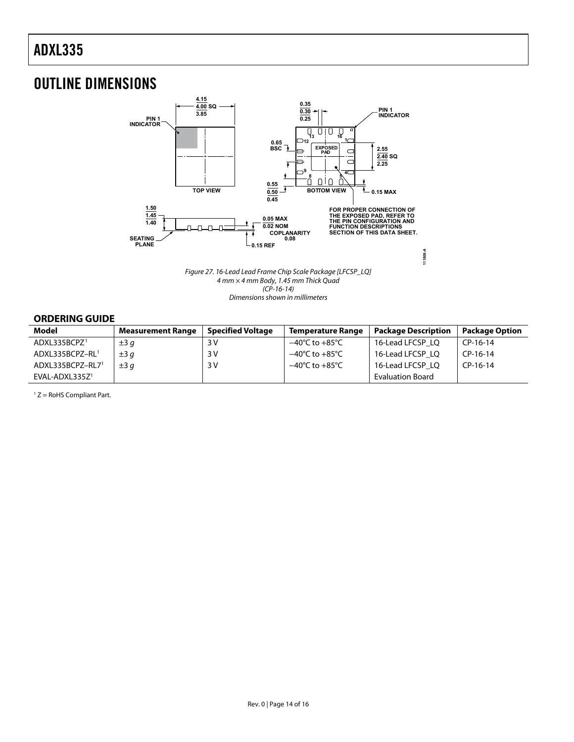# <span id="page-13-0"></span>OUTLINE DIMENSIONS



Figure 27. 16-Lead Lead Frame Chip Scale Package [LFCSP\_LQ] 4 mm × 4 mm Body, 1.45 mm Thick Quad (CP-16-14) Dimensions shown in millimeters

### **ORDERING GUIDE**

<span id="page-13-1"></span>

| <b>Model</b>             | <b>Measurement Range</b> | <b>Specified Voltage</b> | <b>Temperature Range</b>           | <b>Package Description</b> | <b>Package Option</b> |
|--------------------------|--------------------------|--------------------------|------------------------------------|----------------------------|-----------------------|
| ADXL335BCPZ <sup>1</sup> | $\pm 3q$                 | 3 V                      | $-40^{\circ}$ C to $+85^{\circ}$ C | 16-Lead LFCSP LO           | CP-16-14              |
| ADXL335BCPZ-RL1          | $\pm 3q$                 | 3V                       | $-40^{\circ}$ C to $+85^{\circ}$ C | 16-Lead LFCSP LO           | CP-16-14              |
| ADXL335BCPZ-RL71         | $\pm 3a$                 | 3 V                      | $-40^{\circ}$ C to $+85^{\circ}$ C | 16-Lead LFCSP LO           | CP-16-14              |
| $EVAL-ADXL335Z1$         |                          |                          |                                    | <b>Evaluation Board</b>    |                       |

1 Z = RoHS Compliant Part.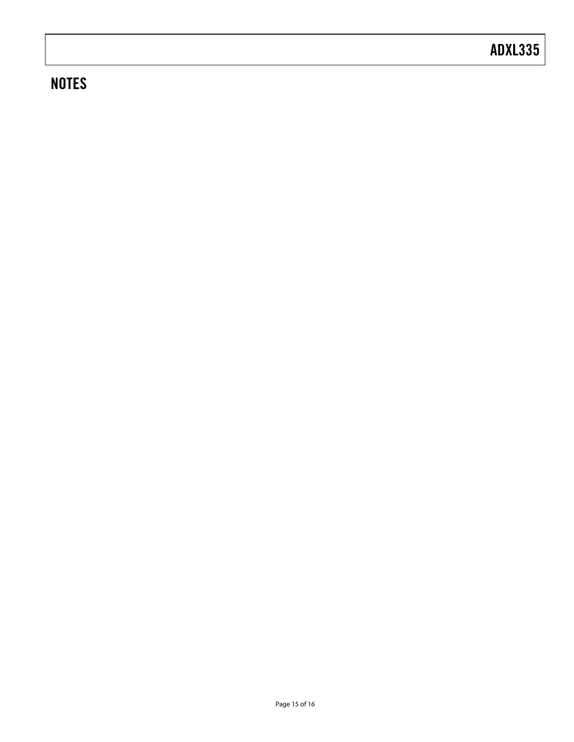# **NOTES**